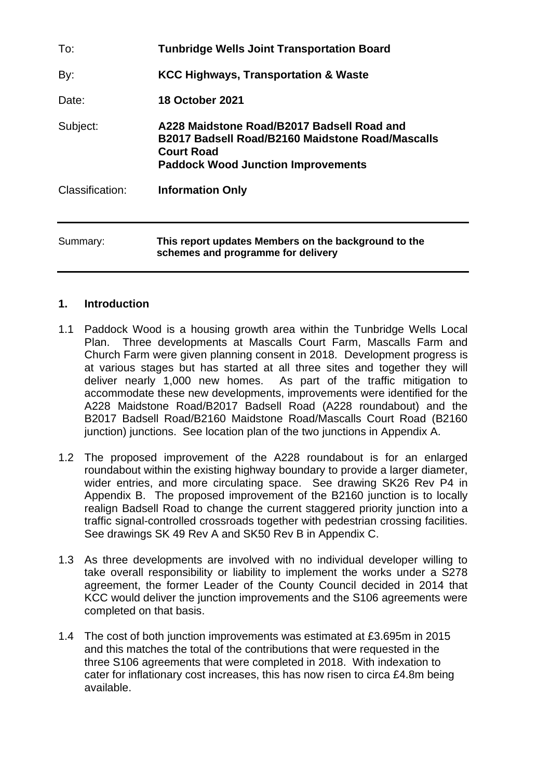| To:             | <b>Tunbridge Wells Joint Transportation Board</b>                                                                                                                |
|-----------------|------------------------------------------------------------------------------------------------------------------------------------------------------------------|
| By:             | KCC Highways, Transportation & Waste                                                                                                                             |
| Date:           | <b>18 October 2021</b>                                                                                                                                           |
| Subject:        | A228 Maidstone Road/B2017 Badsell Road and<br>B2017 Badsell Road/B2160 Maidstone Road/Mascalls<br><b>Court Road</b><br><b>Paddock Wood Junction Improvements</b> |
| Classification: | <b>Information Only</b>                                                                                                                                          |
| Summary:        | This report updates Members on the background to the<br>schemes and programme for delivery                                                                       |

#### **1. Introduction**

- 1.1 Paddock Wood is a housing growth area within the Tunbridge Wells Local Plan. Three developments at Mascalls Court Farm, Mascalls Farm and Church Farm were given planning consent in 2018. Development progress is at various stages but has started at all three sites and together they will deliver nearly 1,000 new homes. As part of the traffic mitigation to accommodate these new developments, improvements were identified for the A228 Maidstone Road/B2017 Badsell Road (A228 roundabout) and the B2017 Badsell Road/B2160 Maidstone Road/Mascalls Court Road (B2160 junction) junctions. See location plan of the two junctions in Appendix A.
- 1.2 The proposed improvement of the A228 roundabout is for an enlarged roundabout within the existing highway boundary to provide a larger diameter, wider entries, and more circulating space. See drawing SK26 Rev P4 in Appendix B. The proposed improvement of the B2160 junction is to locally realign Badsell Road to change the current staggered priority junction into a traffic signal-controlled crossroads together with pedestrian crossing facilities. See drawings SK 49 Rev A and SK50 Rev B in Appendix C.
- 1.3 As three developments are involved with no individual developer willing to take overall responsibility or liability to implement the works under a S278 agreement, the former Leader of the County Council decided in 2014 that KCC would deliver the junction improvements and the S106 agreements were completed on that basis.
- 1.4 The cost of both junction improvements was estimated at £3.695m in 2015 and this matches the total of the contributions that were requested in the three S106 agreements that were completed in 2018. With indexation to cater for inflationary cost increases, this has now risen to circa £4.8m being available.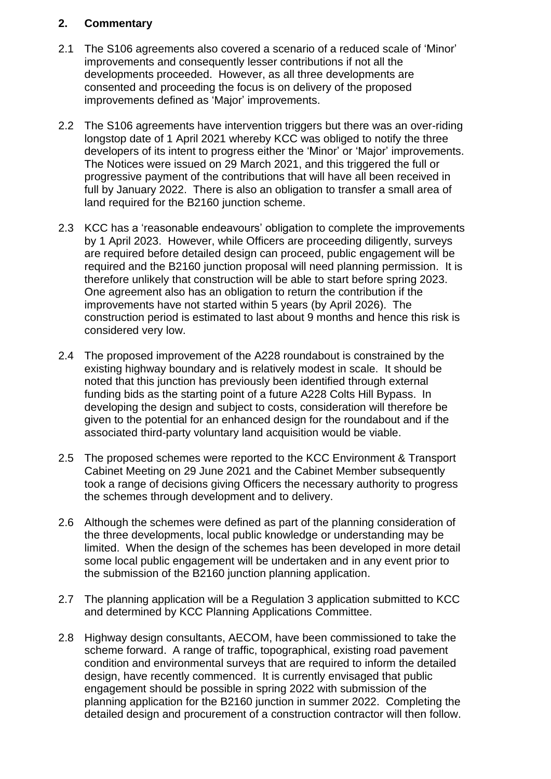### **2. Commentary**

- 2.1 The S106 agreements also covered a scenario of a reduced scale of 'Minor' improvements and consequently lesser contributions if not all the developments proceeded. However, as all three developments are consented and proceeding the focus is on delivery of the proposed improvements defined as 'Major' improvements.
- 2.2 The S106 agreements have intervention triggers but there was an over-riding longstop date of 1 April 2021 whereby KCC was obliged to notify the three developers of its intent to progress either the 'Minor' or 'Major' improvements. The Notices were issued on 29 March 2021, and this triggered the full or progressive payment of the contributions that will have all been received in full by January 2022. There is also an obligation to transfer a small area of land required for the B2160 junction scheme.
- 2.3 KCC has a 'reasonable endeavours' obligation to complete the improvements by 1 April 2023. However, while Officers are proceeding diligently, surveys are required before detailed design can proceed, public engagement will be required and the B2160 junction proposal will need planning permission. It is therefore unlikely that construction will be able to start before spring 2023. One agreement also has an obligation to return the contribution if the improvements have not started within 5 years (by April 2026). The construction period is estimated to last about 9 months and hence this risk is considered very low.
- 2.4 The proposed improvement of the A228 roundabout is constrained by the existing highway boundary and is relatively modest in scale. It should be noted that this junction has previously been identified through external funding bids as the starting point of a future A228 Colts Hill Bypass. In developing the design and subject to costs, consideration will therefore be given to the potential for an enhanced design for the roundabout and if the associated third-party voluntary land acquisition would be viable.
- 2.5 The proposed schemes were reported to the KCC Environment & Transport Cabinet Meeting on 29 June 2021 and the Cabinet Member subsequently took a range of decisions giving Officers the necessary authority to progress the schemes through development and to delivery.
- 2.6 Although the schemes were defined as part of the planning consideration of the three developments, local public knowledge or understanding may be limited. When the design of the schemes has been developed in more detail some local public engagement will be undertaken and in any event prior to the submission of the B2160 junction planning application.
- 2.7 The planning application will be a Regulation 3 application submitted to KCC and determined by KCC Planning Applications Committee.
- 2.8 Highway design consultants, AECOM, have been commissioned to take the scheme forward. A range of traffic, topographical, existing road pavement condition and environmental surveys that are required to inform the detailed design, have recently commenced. It is currently envisaged that public engagement should be possible in spring 2022 with submission of the planning application for the B2160 junction in summer 2022. Completing the detailed design and procurement of a construction contractor will then follow.